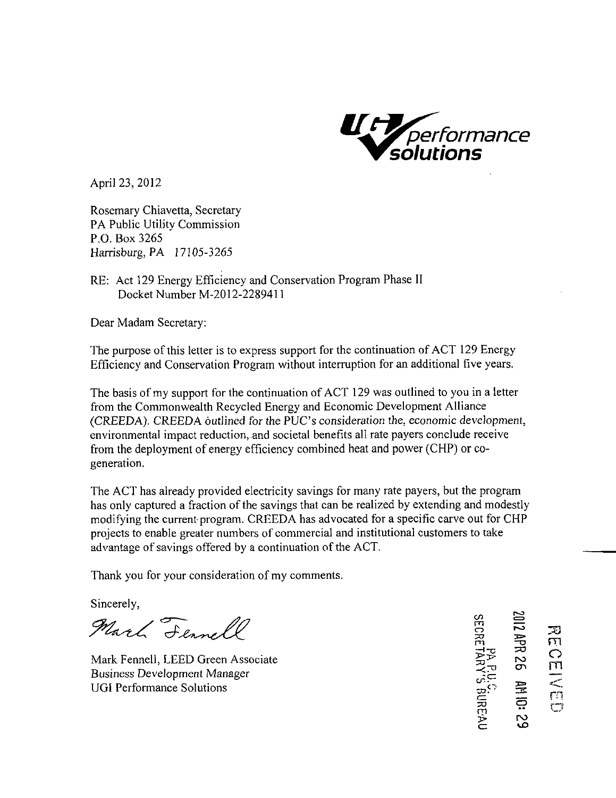

April 23, 2012

Rosemary Chiavetta, Secretary PA Public Utility Commission P.O. Box 3265 Harrisburg, PA 17105-3265

RE: Act 129 Energy Efficiency and Conservation Program Phase II Docket Number M-2012-2289411

Dear Madam Secretary:

The purpose of this letter is to express support for the continuation of ACT 129 Energy Efficiency and Conservation Program without interruption for an additional five years.

The basis of my support for the continuation of ACT 129 was outlined to you in a letter from the Commonwealth Recycled Energy and Economic Development Alliance (CREEDA). CREEDA outlined for the PUC's consideration the, economic development, environmental impact reduction, and societal benefits all rate payers conclude receive from the deployment of energy efficiency combined heat and power (CHP) or cogeneration.

The ACT has already provided electricity savings for many rate payers, but the program has only captured a fraction of the savings that can be realized by extending and modestly modifying the current program. CREEDA has advocated for a specific carve out for CHP projects to enable greater numbers of commercial and institutional customers to take advantage of savings offered by a continuation of the ACT.

Thank you for your consideration of my comments.

Sincerely,

Marl Fennell<br>Mark Fennell, LEED Green Associate<br>Puginege Davelomment Manager

Mark Fennell, LEED Green Associate Business Development Manager Business Development Manager<br>
UGI Performance Solutions<br>  $\begin{array}{ccc}\n\downarrow & \downarrow \\
\downarrow & \downarrow \\
\downarrow & \downarrow \\
\downarrow & \downarrow \\
\downarrow & \downarrow \\
\downarrow & \downarrow \\
\downarrow & \downarrow \\
\downarrow & \downarrow \\
\downarrow & \downarrow \\
\downarrow & \downarrow \\
\downarrow & \downarrow \\
\downarrow & \downarrow \\
\downarrow & \downarrow \\
\downarrow & \downarrow \\
\downarrow & \downarrow \\
\downarrow & \downarrow \\
\downarrow & \downarrow \\
\downarrow & \downarrow \\
\downarrow & \downarrow \\
\downarrow$ 

i: 29<br>29<br>85

**OENE**